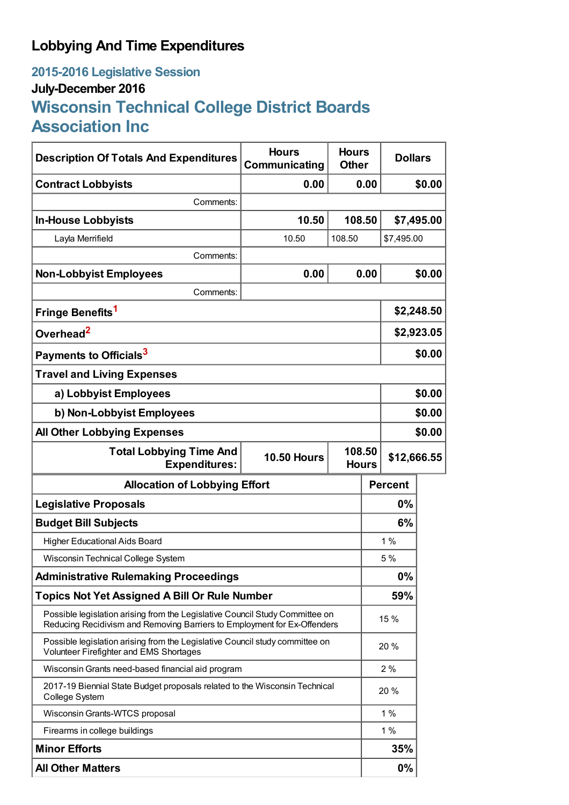# **Lobbying And Time Expenditures**

# **2015-2016 Legislative Session July-December 2016 Wisconsin Technical College District Boards Association Inc**

| <b>Description Of Totals And Expenditures</b>                                                                                                            | <b>Hours</b><br>Communicating | <b>Hours</b><br><b>Other</b> | <b>Dollars</b> |            |
|----------------------------------------------------------------------------------------------------------------------------------------------------------|-------------------------------|------------------------------|----------------|------------|
| <b>Contract Lobbyists</b>                                                                                                                                | 0.00                          | 0.00                         | \$0.00         |            |
| Comments:                                                                                                                                                |                               |                              |                |            |
| <b>In-House Lobbyists</b>                                                                                                                                | 10.50                         | 108.50                       |                | \$7,495.00 |
| Layla Merrifield                                                                                                                                         | 10.50                         | \$7,495.00<br>108.50         |                |            |
| Comments:                                                                                                                                                |                               |                              |                |            |
| <b>Non-Lobbyist Employees</b>                                                                                                                            | 0.00                          | 0.00                         |                | \$0.00     |
| Comments:                                                                                                                                                |                               |                              |                |            |
| Fringe Benefits <sup>1</sup>                                                                                                                             |                               |                              | \$2,248.50     |            |
| Overhead <sup>2</sup>                                                                                                                                    |                               |                              | \$2,923.05     |            |
| Payments to Officials <sup>3</sup>                                                                                                                       |                               |                              |                | \$0.00     |
| <b>Travel and Living Expenses</b>                                                                                                                        |                               |                              |                |            |
| a) Lobbyist Employees                                                                                                                                    |                               |                              | \$0.00         |            |
| b) Non-Lobbyist Employees                                                                                                                                |                               |                              | \$0.00         |            |
| <b>All Other Lobbying Expenses</b>                                                                                                                       |                               |                              |                | \$0.00     |
| <b>Total Lobbying Time And</b><br><b>Expenditures:</b>                                                                                                   | <b>10.50 Hours</b>            | 108.50<br><b>Hours</b>       | \$12,666.55    |            |
| <b>Allocation of Lobbying Effort</b>                                                                                                                     |                               |                              | <b>Percent</b> |            |
| <b>Legislative Proposals</b>                                                                                                                             |                               |                              | 0%             |            |
| <b>Budget Bill Subjects</b>                                                                                                                              |                               |                              | 6%             |            |
| <b>Higher Educational Aids Board</b>                                                                                                                     |                               |                              | 1%             |            |
| Wisconsin Technical College System                                                                                                                       |                               |                              | 5%             |            |
| <b>Administrative Rulemaking Proceedings</b>                                                                                                             |                               |                              | 0%             |            |
| <b>Topics Not Yet Assigned A Bill Or Rule Number</b>                                                                                                     |                               |                              | 59%            |            |
| Possible legislation arising from the Legislative Council Study Committee on<br>Reducing Recidivism and Removing Barriers to Employment for Ex-Offenders |                               |                              | 15 %           |            |
| Possible legislation arising from the Legislative Council study committee on<br>Volunteer Firefighter and EMS Shortages                                  |                               |                              | 20 %           |            |
| Wisconsin Grants need-based financial aid program                                                                                                        |                               |                              | 2%             |            |
| 2017-19 Biennial State Budget proposals related to the Wisconsin Technical<br>College System                                                             |                               |                              | 20 %           |            |
| Wisconsin Grants-WTCS proposal                                                                                                                           |                               |                              | 1%             |            |
| Firearms in college buildings                                                                                                                            |                               |                              | 1%             |            |
| <b>Minor Efforts</b>                                                                                                                                     |                               |                              | 35%            |            |
| <b>All Other Matters</b>                                                                                                                                 |                               |                              | $0\%$          |            |